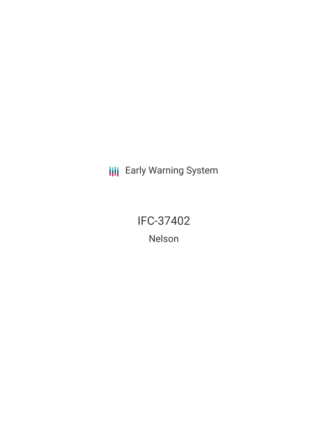**III** Early Warning System

IFC-37402 Nelson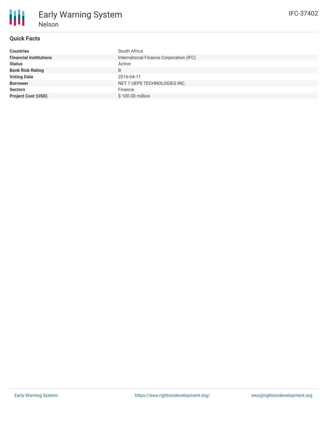## **Quick Facts**

| <b>Countries</b>              | South Africa                            |
|-------------------------------|-----------------------------------------|
| <b>Financial Institutions</b> | International Finance Corporation (IFC) |
| <b>Status</b>                 | Active                                  |
| <b>Bank Risk Rating</b>       | B                                       |
| <b>Voting Date</b>            | 2016-04-11                              |
| <b>Borrower</b>               | NET 1 UEPS TECHNOLOGIES INC.            |
| <b>Sectors</b>                | Finance                                 |
| <b>Project Cost (USD)</b>     | \$100.00 million                        |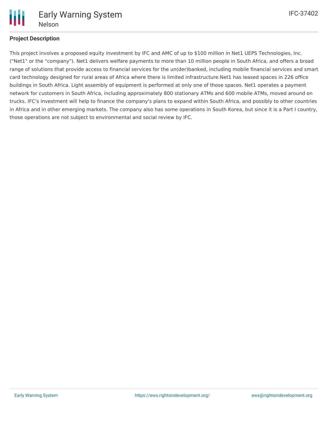

# **Project Description**

This project involves a proposed equity investment by IFC and AMC of up to \$100 million in Net1 UEPS Technologies, Inc. ("Net1" or the "company"). Net1 delivers welfare payments to more than 10 million people in South Africa, and offers a broad range of solutions that provide access to financial services for the un(der)banked, including mobile financial services and smart card technology designed for rural areas of Africa where there is limited infrastructure.Net1 has leased spaces in 226 office buildings in South Africa. Light assembly of equipment is performed at only one of those spaces. Net1 operates a payment network for customers in South Africa, including approximately 800 stationary ATMs and 600 mobile ATMs, moved around on trucks. IFC's investment will help to finance the company's plans to expand within South Africa, and possibly to other countries in Africa and in other emerging markets. The company also has some operations in South Korea, but since it is a Part I country, those operations are not subject to environmental and social review by IFC.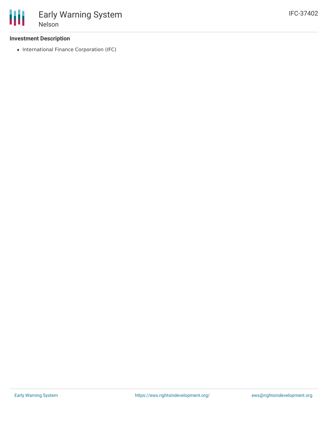### **Investment Description**

• International Finance Corporation (IFC)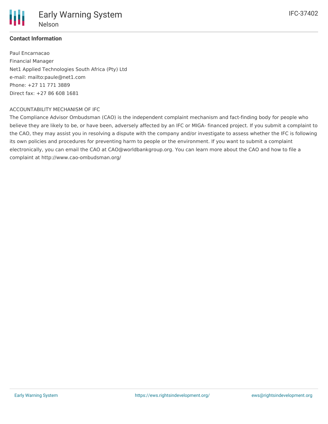

## **Contact Information**

Paul Encarnacao Financial Manager Net1 Applied Technologies South Africa (Pty) Ltd e-mail: mailto:paule@net1.com Phone: +27 11 771 3889 Direct fax: +27 86 608 1681

#### ACCOUNTABILITY MECHANISM OF IFC

The Compliance Advisor Ombudsman (CAO) is the independent complaint mechanism and fact-finding body for people who believe they are likely to be, or have been, adversely affected by an IFC or MIGA- financed project. If you submit a complaint to the CAO, they may assist you in resolving a dispute with the company and/or investigate to assess whether the IFC is following its own policies and procedures for preventing harm to people or the environment. If you want to submit a complaint electronically, you can email the CAO at CAO@worldbankgroup.org. You can learn more about the CAO and how to file a complaint at http://www.cao-ombudsman.org/